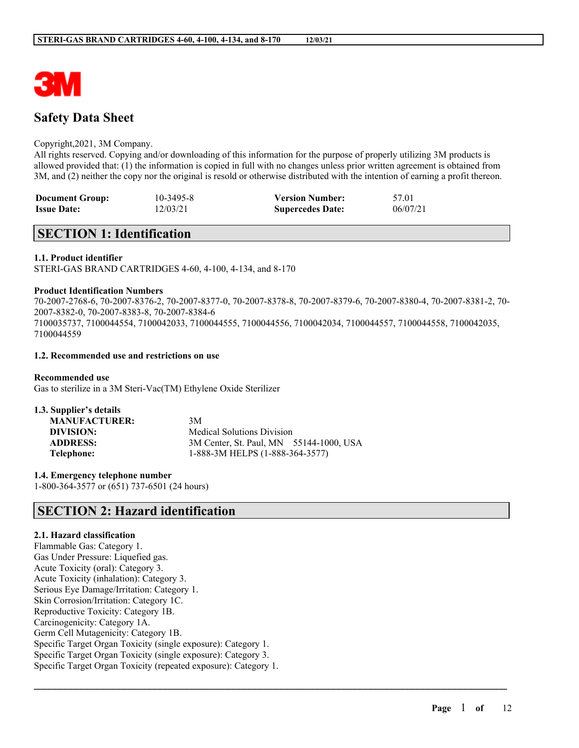

# **Safety Data Sheet**

### Copyright,2021, 3M Company.

All rights reserved. Copying and/or downloading of this information for the purpose of properly utilizing 3M products is allowed provided that: (1) the information is copied in full with no changes unless prior written agreement is obtained from 3M, and (2) neither the copy nor the original is resold or otherwise distributed with the intention of earning a profit thereon.

| <b>Document Group:</b> | 10-3495-8 | <b>Version Number:</b>  | 57.01    |
|------------------------|-----------|-------------------------|----------|
| <b>Issue Date:</b>     | 12/03/21  | <b>Supercedes Date:</b> | 06/07/21 |

# **SECTION 1: Identification**

### **1.1. Product identifier**

STERI-GAS BRAND CARTRIDGES 4-60, 4-100, 4-134, and 8-170

### **Product Identification Numbers**

70-2007-2768-6, 70-2007-8376-2, 70-2007-8377-0, 70-2007-8378-8, 70-2007-8379-6, 70-2007-8380-4, 70-2007-8381-2, 70- 2007-8382-0, 70-2007-8383-8, 70-2007-8384-6 7100035737, 7100044554, 7100042033, 7100044555, 7100044556, 7100042034, 7100044557, 7100044558, 7100042035, 7100044559

 $\mathcal{L}_\mathcal{L} = \mathcal{L}_\mathcal{L} = \mathcal{L}_\mathcal{L} = \mathcal{L}_\mathcal{L} = \mathcal{L}_\mathcal{L} = \mathcal{L}_\mathcal{L} = \mathcal{L}_\mathcal{L} = \mathcal{L}_\mathcal{L} = \mathcal{L}_\mathcal{L} = \mathcal{L}_\mathcal{L} = \mathcal{L}_\mathcal{L} = \mathcal{L}_\mathcal{L} = \mathcal{L}_\mathcal{L} = \mathcal{L}_\mathcal{L} = \mathcal{L}_\mathcal{L} = \mathcal{L}_\mathcal{L} = \mathcal{L}_\mathcal{L}$ 

### **1.2. Recommended use and restrictions on use**

**Recommended use** Gas to sterilize in a 3M Steri-Vac(TM) Ethylene Oxide Sterilizer

| 1.3. Supplier's details |                                         |
|-------------------------|-----------------------------------------|
| <b>MANUFACTURER:</b>    | 3M                                      |
| DIVISION:               | <b>Medical Solutions Division</b>       |
| <b>ADDRESS:</b>         | 3M Center, St. Paul, MN 55144-1000, USA |
| Telephone:              | 1-888-3M HELPS (1-888-364-3577)         |

**1.4. Emergency telephone number** 1-800-364-3577 or (651) 737-6501 (24 hours)

# **SECTION 2: Hazard identification**

### **2.1. Hazard classification**

Flammable Gas: Category 1. Gas Under Pressure: Liquefied gas. Acute Toxicity (oral): Category 3. Acute Toxicity (inhalation): Category 3. Serious Eye Damage/Irritation: Category 1. Skin Corrosion/Irritation: Category 1C. Reproductive Toxicity: Category 1B. Carcinogenicity: Category 1A. Germ Cell Mutagenicity: Category 1B. Specific Target Organ Toxicity (single exposure): Category 1. Specific Target Organ Toxicity (single exposure): Category 3. Specific Target Organ Toxicity (repeated exposure): Category 1.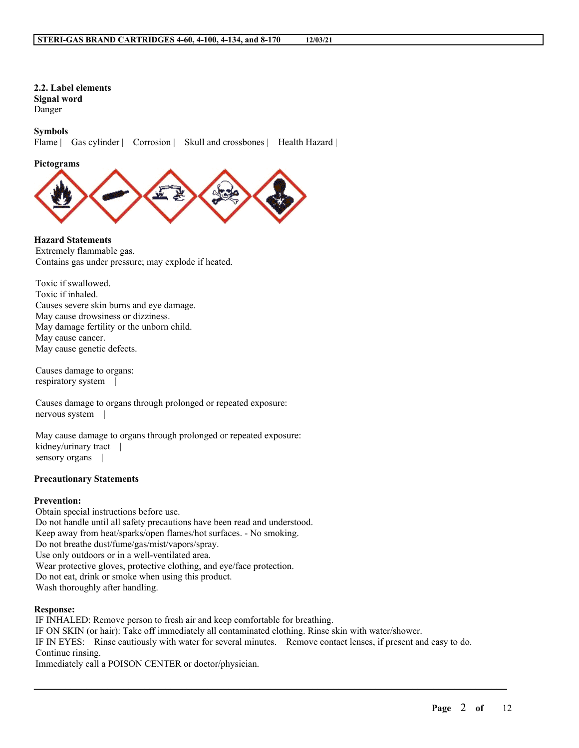# **2.2. Label elements**

**Signal word** Danger

### **Symbols**

Flame | Gas cylinder | Corrosion | Skull and crossbones | Health Hazard |

### **Pictograms**



### **Hazard Statements**

Extremely flammable gas. Contains gas under pressure; may explode if heated.

Toxic if swallowed. Toxic if inhaled. Causes severe skin burns and eye damage. May cause drowsiness or dizziness. May damage fertility or the unborn child. May cause cancer. May cause genetic defects.

Causes damage to organs: respiratory system |

Causes damage to organs through prolonged or repeated exposure: nervous system |

May cause damage to organs through prolonged or repeated exposure: kidney/urinary tract | sensory organs |

### **Precautionary Statements**

### **Prevention:**

Obtain special instructions before use. Do not handle until all safety precautions have been read and understood. Keep away from heat/sparks/open flames/hot surfaces. - No smoking. Do not breathe dust/fume/gas/mist/vapors/spray. Use only outdoors or in a well-ventilated area. Wear protective gloves, protective clothing, and eye/face protection. Do not eat, drink or smoke when using this product. Wash thoroughly after handling.

### **Response:**

IF INHALED: Remove person to fresh air and keep comfortable for breathing. IF ON SKIN (or hair): Take off immediately all contaminated clothing. Rinse skin with water/shower. IF IN EYES: Rinse cautiously with water for several minutes. Remove contact lenses, if present and easy to do. Continue rinsing. Immediately call a POISON CENTER or doctor/physician.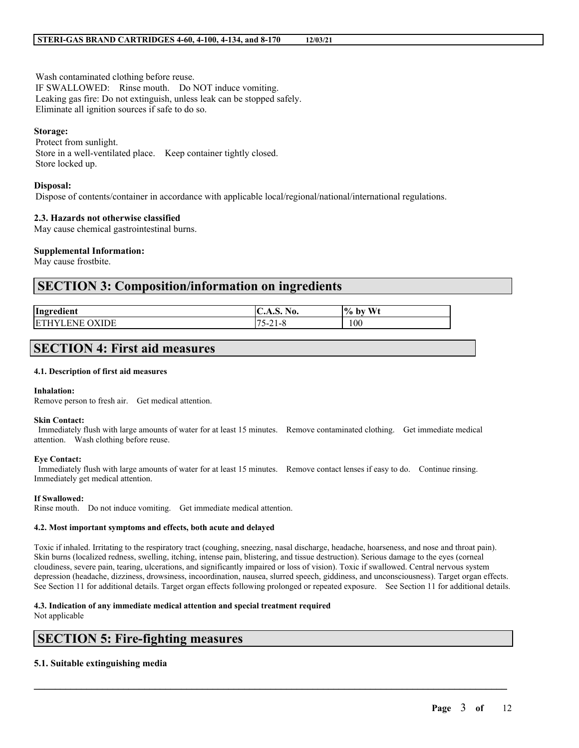Wash contaminated clothing before reuse. IF SWALLOWED: Rinse mouth. Do NOT induce vomiting. Leaking gas fire: Do not extinguish, unless leak can be stopped safely. Eliminate all ignition sources if safe to do so.

#### **Storage:**

Protect from sunlight. Store in a well-ventilated place. Keep container tightly closed. Store locked up.

#### **Disposal:**

Dispose of contents/container in accordance with applicable local/regional/national/international regulations.

### **2.3. Hazards not otherwise classified**

May cause chemical gastrointestinal burns.

#### **Supplemental Information:**

May cause frostbite.

# **SECTION 3: Composition/information on ingredients**

| Ingredient              | <b>IC.A.S. No.</b>                | W <sub>t</sub><br>$\frac{10}{6}$ .<br>by |
|-------------------------|-----------------------------------|------------------------------------------|
| IDE<br>ιF΄<br><b>NH</b> | $-$<br>$\mathbf{r}$<br>-41-0<br>ັ | 100                                      |

# **SECTION 4: First aid measures**

#### **4.1. Description of first aid measures**

#### **Inhalation:**

Remove person to fresh air. Get medical attention.

#### **Skin Contact:**

Immediately flush with large amounts of water for at least 15 minutes. Remove contaminated clothing. Get immediate medical attention. Wash clothing before reuse.

#### **Eye Contact:**

Immediately flush with large amounts of water for at least 15 minutes. Remove contact lenses if easy to do. Continue rinsing. Immediately get medical attention.

#### **If Swallowed:**

Rinse mouth. Do not induce vomiting. Get immediate medical attention.

#### **4.2. Most important symptoms and effects, both acute and delayed**

Toxic if inhaled. Irritating to the respiratory tract (coughing, sneezing, nasal discharge, headache, hoarseness, and nose and throat pain). Skin burns (localized redness, swelling, itching, intense pain, blistering, and tissue destruction). Serious damage to the eyes (corneal cloudiness, severe pain, tearing, ulcerations, and significantly impaired or loss of vision). Toxic if swallowed. Central nervous system depression (headache, dizziness, drowsiness, incoordination, nausea, slurred speech, giddiness, and unconsciousness). Target organ effects. See Section 11 for additional details. Target organ effects following prolonged or repeated exposure. See Section 11 for additional details.

 $\mathcal{L}_\mathcal{L} = \mathcal{L}_\mathcal{L} = \mathcal{L}_\mathcal{L} = \mathcal{L}_\mathcal{L} = \mathcal{L}_\mathcal{L} = \mathcal{L}_\mathcal{L} = \mathcal{L}_\mathcal{L} = \mathcal{L}_\mathcal{L} = \mathcal{L}_\mathcal{L} = \mathcal{L}_\mathcal{L} = \mathcal{L}_\mathcal{L} = \mathcal{L}_\mathcal{L} = \mathcal{L}_\mathcal{L} = \mathcal{L}_\mathcal{L} = \mathcal{L}_\mathcal{L} = \mathcal{L}_\mathcal{L} = \mathcal{L}_\mathcal{L}$ 

#### **4.3. Indication of any immediate medical attention and special treatment required**

Not applicable

# **SECTION 5: Fire-fighting measures**

### **5.1. Suitable extinguishing media**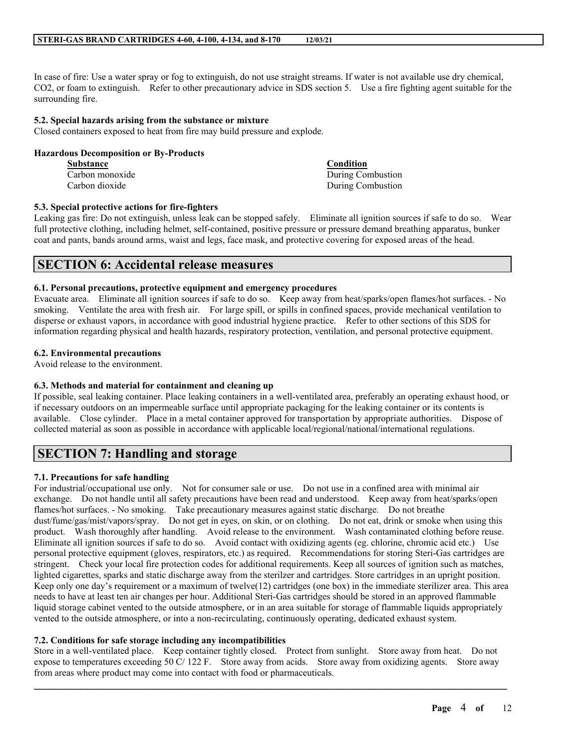In case of fire: Use a water spray or fog to extinguish, do not use straight streams. If water is not available use dry chemical, CO2, or foam to extinguish. Refer to other precautionary advice in SDS section 5. Use a fire fighting agent suitable for the surrounding fire.

### **5.2. Special hazards arising from the substance or mixture**

Closed containers exposed to heat from fire may build pressure and explode.

### **Hazardous Decomposition or By-Products**

| <b>Substance</b> | Condition         |
|------------------|-------------------|
| Carbon monoxide  | During Combustion |
| Carbon dioxide   | During Combustion |

### **5.3. Special protective actions for fire-fighters**

Leaking gas fire: Do not extinguish, unless leak can be stopped safely. Eliminate all ignition sources if safe to do so. Wear full protective clothing, including helmet, self-contained, positive pressure or pressure demand breathing apparatus, bunker coat and pants, bands around arms, waist and legs, face mask, and protective covering for exposed areas of the head.

# **SECTION 6: Accidental release measures**

### **6.1. Personal precautions, protective equipment and emergency procedures**

Evacuate area. Eliminate all ignition sources if safe to do so. Keep away from heat/sparks/open flames/hot surfaces. - No smoking. Ventilate the area with fresh air. For large spill, or spills in confined spaces, provide mechanical ventilation to disperse or exhaust vapors, in accordance with good industrial hygiene practice. Refer to other sections of this SDS for information regarding physical and health hazards, respiratory protection, ventilation, and personal protective equipment.

### **6.2. Environmental precautions**

Avoid release to the environment.

### **6.3. Methods and material for containment and cleaning up**

If possible, seal leaking container. Place leaking containers in a well-ventilated area, preferably an operating exhaust hood, or if necessary outdoors on an impermeable surface until appropriate packaging for the leaking container or its contents is available. Close cylinder. Place in a metal container approved for transportation by appropriate authorities. Dispose of collected material as soon as possible in accordance with applicable local/regional/national/international regulations.

# **SECTION 7: Handling and storage**

### **7.1. Precautions for safe handling**

For industrial/occupational use only. Not for consumer sale or use. Do not use in a confined area with minimal air exchange. Do not handle until all safety precautions have been read and understood. Keep away from heat/sparks/open flames/hot surfaces. - No smoking. Take precautionary measures against static discharge. Do not breathe dust/fume/gas/mist/vapors/spray. Do not get in eyes, on skin, or on clothing. Do not eat, drink or smoke when using this product. Wash thoroughly after handling. Avoid release to the environment. Wash contaminated clothing before reuse. Eliminate all ignition sources if safe to do so. Avoid contact with oxidizing agents (eg. chlorine, chromic acid etc.) Use personal protective equipment (gloves, respirators, etc.) as required. Recommendations for storing Steri-Gas cartridges are stringent. Check your local fire protection codes for additional requirements. Keep all sources of ignition such as matches, lighted cigarettes, sparks and static discharge away from the sterilzer and cartridges. Store cartridges in an upright position. Keep only one day's requirement or a maximum of twelve(12) cartridges (one box) in the immediate sterilizer area. This area needs to have at least ten air changes per hour. Additional Steri-Gas cartridges should be stored in an approved flammable liquid storage cabinet vented to the outside atmosphere, or in an area suitable for storage of flammable liquids appropriately vented to the outside atmosphere, or into a non-recirculating, continuously operating, dedicated exhaust system.

### **7.2. Conditions for safe storage including any incompatibilities**

Store in a well-ventilated place. Keep container tightly closed. Protect from sunlight. Store away from heat. Do not expose to temperatures exceeding 50 C/ 122 F. Store away from acids. Store away from oxidizing agents. Store away from areas where product may come into contact with food or pharmaceuticals.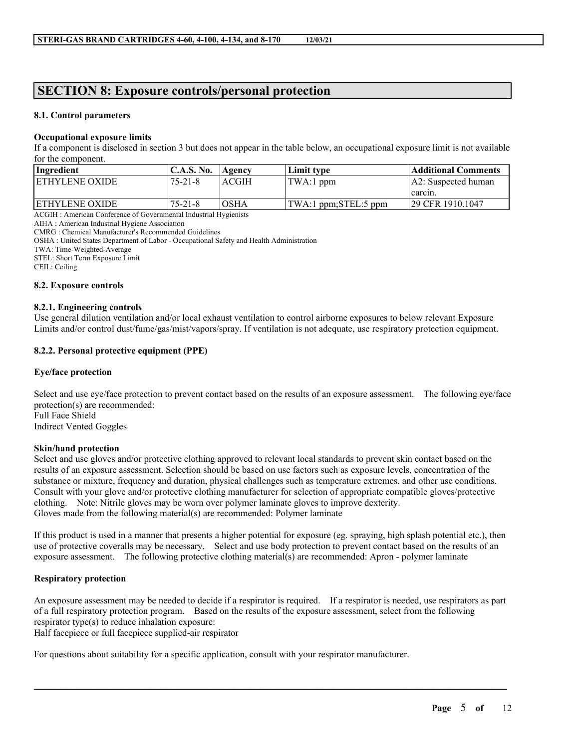# **SECTION 8: Exposure controls/personal protection**

### **8.1. Control parameters**

### **Occupational exposure limits**

If a component is disclosed in section 3 but does not appear in the table below, an occupational exposure limit is not available for the component.

| Ingredient             | <b>C.A.S. No.</b> | Agency | Limit type           | <b>Additional Comments</b> |
|------------------------|-------------------|--------|----------------------|----------------------------|
| <b>IETHYLENE OXIDE</b> | 175-21-8          | ACGIH  | TWA:1 ppm            | A2: Suspected human        |
|                        |                   |        |                      | carcin.                    |
| <b>IETHYLENE OXIDE</b> | 175-21-8          | OSHA   | TWA:1 ppm;STEL:5 ppm | 129 CFR 1910.1047          |

ACGIH : American Conference of Governmental Industrial Hygienists

AIHA : American Industrial Hygiene Association

CMRG : Chemical Manufacturer's Recommended Guidelines

OSHA : United States Department of Labor - Occupational Safety and Health Administration

TWA: Time-Weighted-Average

STEL: Short Term Exposure Limit

CEIL: Ceiling

### **8.2. Exposure controls**

### **8.2.1. Engineering controls**

Use general dilution ventilation and/or local exhaust ventilation to control airborne exposures to below relevant Exposure Limits and/or control dust/fume/gas/mist/vapors/spray. If ventilation is not adequate, use respiratory protection equipment.

### **8.2.2. Personal protective equipment (PPE)**

### **Eye/face protection**

Select and use eye/face protection to prevent contact based on the results of an exposure assessment. The following eye/face protection(s) are recommended: Full Face Shield

Indirect Vented Goggles

### **Skin/hand protection**

Select and use gloves and/or protective clothing approved to relevant local standards to prevent skin contact based on the results of an exposure assessment. Selection should be based on use factors such as exposure levels, concentration of the substance or mixture, frequency and duration, physical challenges such as temperature extremes, and other use conditions. Consult with your glove and/or protective clothing manufacturer for selection of appropriate compatible gloves/protective clothing. Note: Nitrile gloves may be worn over polymer laminate gloves to improve dexterity. Gloves made from the following material(s) are recommended: Polymer laminate

If this product is used in a manner that presents a higher potential for exposure (eg. spraying, high splash potential etc.), then use of protective coveralls may be necessary. Select and use body protection to prevent contact based on the results of an exposure assessment. The following protective clothing material(s) are recommended: Apron - polymer laminate

### **Respiratory protection**

An exposure assessment may be needed to decide if a respirator is required. If a respirator is needed, use respirators as part of a full respiratory protection program. Based on the results of the exposure assessment, select from the following respirator type(s) to reduce inhalation exposure: Half facepiece or full facepiece supplied-air respirator

 $\mathcal{L}_\mathcal{L} = \mathcal{L}_\mathcal{L} = \mathcal{L}_\mathcal{L} = \mathcal{L}_\mathcal{L} = \mathcal{L}_\mathcal{L} = \mathcal{L}_\mathcal{L} = \mathcal{L}_\mathcal{L} = \mathcal{L}_\mathcal{L} = \mathcal{L}_\mathcal{L} = \mathcal{L}_\mathcal{L} = \mathcal{L}_\mathcal{L} = \mathcal{L}_\mathcal{L} = \mathcal{L}_\mathcal{L} = \mathcal{L}_\mathcal{L} = \mathcal{L}_\mathcal{L} = \mathcal{L}_\mathcal{L} = \mathcal{L}_\mathcal{L}$ 

For questions about suitability for a specific application, consult with your respirator manufacturer.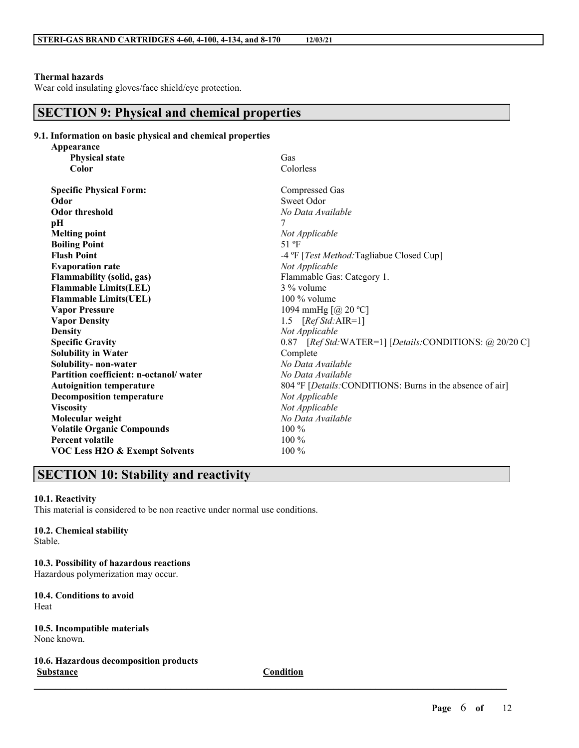### **Thermal hazards**

Wear cold insulating gloves/face shield/eye protection.

# **SECTION 9: Physical and chemical properties**

| 9.1. Information on basic physical and chemical properties |  |  |  |
|------------------------------------------------------------|--|--|--|
| Annearance                                                 |  |  |  |

| Appearance                                |                                                                   |
|-------------------------------------------|-------------------------------------------------------------------|
| <b>Physical state</b>                     | Gas                                                               |
| Color                                     | Colorless                                                         |
| <b>Specific Physical Form:</b>            | Compressed Gas                                                    |
| Odor                                      | Sweet Odor                                                        |
| <b>Odor threshold</b>                     | No Data Available                                                 |
| pН                                        | 7                                                                 |
| <b>Melting point</b>                      | Not Applicable                                                    |
| <b>Boiling Point</b>                      | 51 °F                                                             |
| <b>Flash Point</b>                        | -4 °F [ <i>Test Method:</i> Tagliabue Closed Cup]                 |
| <b>Evaporation rate</b>                   | Not Applicable                                                    |
| <b>Flammability (solid, gas)</b>          | Flammable Gas: Category 1.                                        |
| <b>Flammable Limits(LEL)</b>              | 3 % volume                                                        |
| <b>Flammable Limits(UEL)</b>              | $100\%$ volume                                                    |
| <b>Vapor Pressure</b>                     | 1094 mmHg $[@ 20 °C]$                                             |
| <b>Vapor Density</b>                      | 1.5 $[RefStd:AIR=1]$                                              |
| <b>Density</b>                            | Not Applicable                                                    |
| <b>Specific Gravity</b>                   | 0.87 [Ref Std:WATER=1] [Details:CONDITIONS: @ 20/20 C]            |
| <b>Solubility in Water</b>                | Complete                                                          |
| Solubility- non-water                     | No Data Available                                                 |
| Partition coefficient: n-octanol/water    | No Data Available                                                 |
| <b>Autoignition temperature</b>           | 804 °F [ <i>Details:</i> CONDITIONS: Burns in the absence of air] |
| <b>Decomposition temperature</b>          | Not Applicable                                                    |
| <b>Viscosity</b>                          | Not Applicable                                                    |
| Molecular weight                          | No Data Available                                                 |
| <b>Volatile Organic Compounds</b>         | 100 %                                                             |
| <b>Percent volatile</b>                   | $100\%$                                                           |
| <b>VOC Less H2O &amp; Exempt Solvents</b> | 100 %                                                             |
|                                           |                                                                   |

# **SECTION 10: Stability and reactivity**

### **10.1. Reactivity**

This material is considered to be non reactive under normal use conditions.

# **10.2. Chemical stability**

Stable.

**10.3. Possibility of hazardous reactions** Hazardous polymerization may occur.

**10.4. Conditions to avoid** Heat

**10.5. Incompatible materials** None known.

**10.6. Hazardous decomposition products Substance Condition**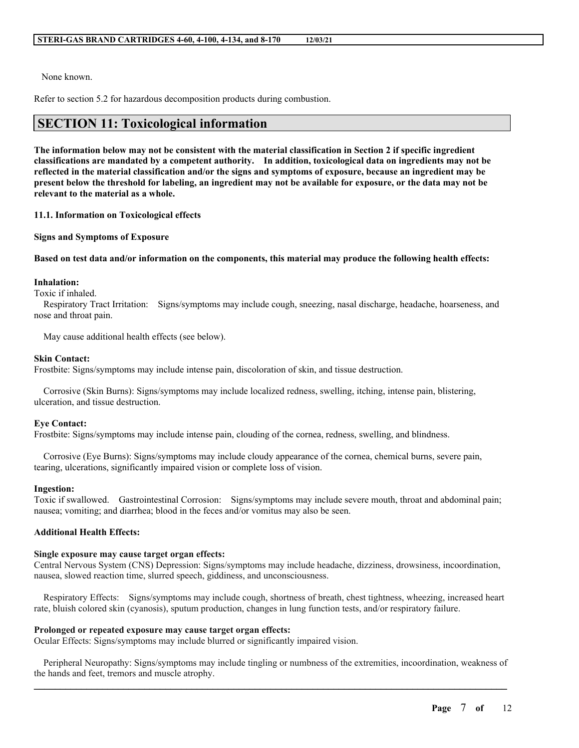None known.

Refer to section 5.2 for hazardous decomposition products during combustion.

# **SECTION 11: Toxicological information**

The information below may not be consistent with the material classification in Section 2 if specific ingredient **classifications are mandated by a competent authority. In addition, toxicological data on ingredients may not be** reflected in the material classification and/or the signs and symptoms of exposure, because an ingredient may be present below the threshold for labeling, an ingredient may not be available for exposure, or the data may not be **relevant to the material as a whole.**

### **11.1. Information on Toxicological effects**

**Signs and Symptoms of Exposure**

### Based on test data and/or information on the components, this material may produce the following health effects:

### **Inhalation:**

Toxic if inhaled.

Respiratory Tract Irritation: Signs/symptoms may include cough, sneezing, nasal discharge, headache, hoarseness, and nose and throat pain.

May cause additional health effects (see below).

### **Skin Contact:**

Frostbite: Signs/symptoms may include intense pain, discoloration of skin, and tissue destruction.

Corrosive (Skin Burns): Signs/symptoms may include localized redness, swelling, itching, intense pain, blistering, ulceration, and tissue destruction.

### **Eye Contact:**

Frostbite: Signs/symptoms may include intense pain, clouding of the cornea, redness, swelling, and blindness.

Corrosive (Eye Burns): Signs/symptoms may include cloudy appearance of the cornea, chemical burns, severe pain, tearing, ulcerations, significantly impaired vision or complete loss of vision.

### **Ingestion:**

Toxic if swallowed. Gastrointestinal Corrosion: Signs/symptoms may include severe mouth, throat and abdominal pain; nausea; vomiting; and diarrhea; blood in the feces and/or vomitus may also be seen.

### **Additional Health Effects:**

### **Single exposure may cause target organ effects:**

Central Nervous System (CNS) Depression: Signs/symptoms may include headache, dizziness, drowsiness, incoordination, nausea, slowed reaction time, slurred speech, giddiness, and unconsciousness.

Respiratory Effects: Signs/symptoms may include cough, shortness of breath, chest tightness, wheezing, increased heart rate, bluish colored skin (cyanosis), sputum production, changes in lung function tests, and/or respiratory failure.

### **Prolonged or repeated exposure may cause target organ effects:**

Ocular Effects: Signs/symptoms may include blurred or significantly impaired vision.

 $\mathcal{L}_\mathcal{L} = \mathcal{L}_\mathcal{L} = \mathcal{L}_\mathcal{L} = \mathcal{L}_\mathcal{L} = \mathcal{L}_\mathcal{L} = \mathcal{L}_\mathcal{L} = \mathcal{L}_\mathcal{L} = \mathcal{L}_\mathcal{L} = \mathcal{L}_\mathcal{L} = \mathcal{L}_\mathcal{L} = \mathcal{L}_\mathcal{L} = \mathcal{L}_\mathcal{L} = \mathcal{L}_\mathcal{L} = \mathcal{L}_\mathcal{L} = \mathcal{L}_\mathcal{L} = \mathcal{L}_\mathcal{L} = \mathcal{L}_\mathcal{L}$ Peripheral Neuropathy: Signs/symptoms may include tingling or numbness of the extremities, incoordination, weakness of the hands and feet, tremors and muscle atrophy.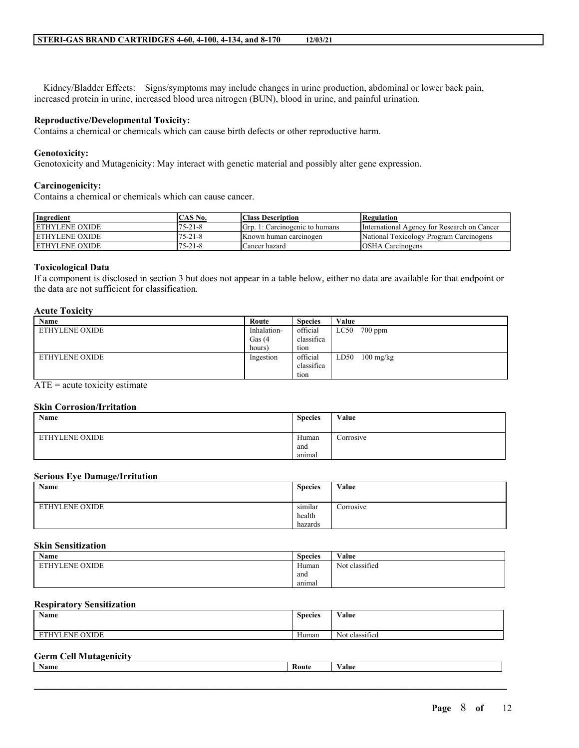Kidney/Bladder Effects: Signs/symptoms may include changes in urine production, abdominal or lower back pain, increased protein in urine, increased blood urea nitrogen (BUN), blood in urine, and painful urination.

### **Reproductive/Developmental Toxicity:**

Contains a chemical or chemicals which can cause birth defects or other reproductive harm.

### **Genotoxicity:**

Genotoxicity and Mutagenicity: May interact with genetic material and possibly alter gene expression.

### **Carcinogenicity:**

Contains a chemical or chemicals which can cause cancer.

| Ingredient             | °AS No.      | <b>Class Description</b>                      | <b>Regulation</b>                           |
|------------------------|--------------|-----------------------------------------------|---------------------------------------------|
| <b>LETHYLENE OXIDE</b> | 75-21-8      | l: Carcinogenic to humans<br>$\lim_{x \to 0}$ | International Agency for Research on Cancer |
| <b>LETHYLENE OXIDE</b> | 75-21-8      | <b>IKnown human carcinogen</b>                | National Toxicology Program Carcinogens     |
| <b>LETHYLENE OXIDE</b> | $5 - 21 - 8$ | Cancer hazard                                 | <b>OSHA Carcinogens</b>                     |

### **Toxicological Data**

If a component is disclosed in section 3 but does not appear in a table below, either no data are available for that endpoint or the data are not sufficient for classification.

### **Acute Toxicity**

| Name           | Route       | <b>Species</b> | Value                       |
|----------------|-------------|----------------|-----------------------------|
| ETHYLENE OXIDE | Inhalation- | official       | $700$ ppm<br>LC50           |
|                | Gas (4      | classifica     |                             |
|                | hours)      | tion           |                             |
| ETHYLENE OXIDE | Ingestion   | official       | LD50<br>$100 \text{ mg/kg}$ |
|                |             | classifica     |                             |
|                |             | tion           |                             |

 $ATE = acute toxicity estimate$ 

### **Skin Corrosion/Irritation**

| Name                  | <b>Species</b>                   | Value     |
|-----------------------|----------------------------------|-----------|
| <b>ETHYLENE OXIDE</b> | Human<br>and<br>$\sim$<br>anımal | Corrosive |

#### **Serious Eye Damage/Irritation**

| Name           | <b>Species</b>    | Value     |
|----------------|-------------------|-----------|
| ETHYLENE OXIDE | similar<br>health | Corrosive |
|                | hazards           |           |

### **Skin Sensitization**

| Name           | $\sim$<br><b>Species</b> | Value          |
|----------------|--------------------------|----------------|
| ETHYLENE OXIDE | Human                    | Not classified |
|                | and                      |                |
|                | anımal                   |                |

### **Respiratory Sensitization**

| <b>Name</b>                              | <b>Species</b>     | Value                    |
|------------------------------------------|--------------------|--------------------------|
| <b>OXIDE</b><br>LENE <sup></sup><br>EIH. | <b>YY</b><br>Human | $\sim$<br>Not classified |

### **Germ Cell Mutagenicity**

| Name | Route | $-1$<br>⁄ alue |
|------|-------|----------------|
|      |       |                |
|      |       |                |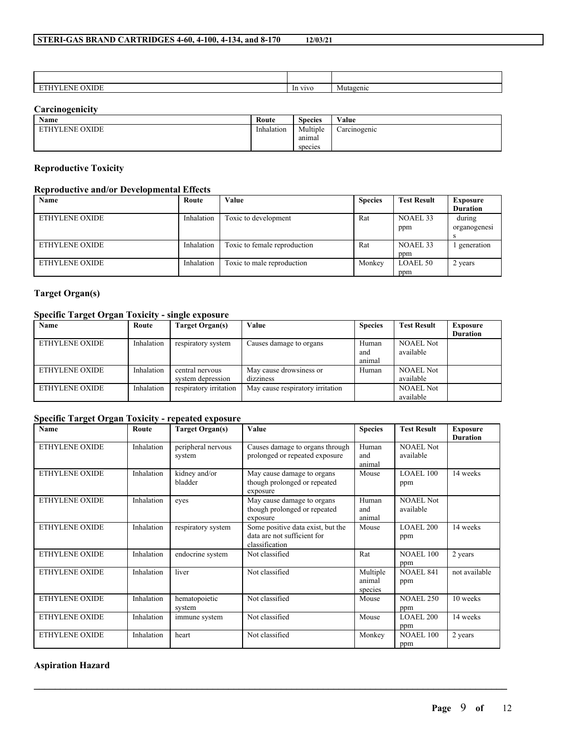| ∸<br>. . | OXIDE<br>.IN F | In vivo | Mutagenic |
|----------|----------------|---------|-----------|

# **Carcinogenicity**

| <b>Name</b>    | Route      | $\sim$<br><b>Species</b> | Value        |
|----------------|------------|--------------------------|--------------|
| ETHYLENE OXIDE | Inhalation | Multiple                 | Carcinogenic |
|                |            | anımal                   |              |
|                |            | species                  |              |

### **Reproductive Toxicity**

# **Reproductive and/or Developmental Effects**

| Name                  | Route      | Value                        | <b>Species</b> | <b>Test Result</b> | <b>Exposure</b> |
|-----------------------|------------|------------------------------|----------------|--------------------|-----------------|
|                       |            |                              |                |                    | <b>Duration</b> |
| <b>ETHYLENE OXIDE</b> | Inhalation | Toxic to development         | Rat            | NOAEL 33           | during          |
|                       |            |                              |                | ppm                | organogenesi    |
|                       |            |                              |                |                    |                 |
| <b>ETHYLENE OXIDE</b> | Inhalation | Toxic to female reproduction | Rat            | NOAEL 33           | generation      |
|                       |            |                              |                | ppm                |                 |
| <b>ETHYLENE OXIDE</b> | Inhalation | Toxic to male reproduction   | Monkey         | <b>LOAEL 50</b>    | 2 years         |
|                       |            |                              |                | ppm                |                 |

# **Target Organ(s)**

# **Specific Target Organ Toxicity - single exposure**

| Name           | Route      | Target Organ(s)        | Value                            | <b>Species</b> | <b>Test Result</b> | <b>Exposure</b> |
|----------------|------------|------------------------|----------------------------------|----------------|--------------------|-----------------|
|                |            |                        |                                  |                |                    | <b>Duration</b> |
| ETHYLENE OXIDE | Inhalation | respiratory system     | Causes damage to organs          | Human          | <b>NOAEL Not</b>   |                 |
|                |            |                        |                                  | and            | available          |                 |
|                |            |                        |                                  | animal         |                    |                 |
| ETHYLENE OXIDE | Inhalation | central nervous        | May cause drowsiness or          | Human          | <b>NOAEL Not</b>   |                 |
|                |            | system depression      | dizziness                        |                | available          |                 |
| ETHYLENE OXIDE | Inhalation | respiratory irritation | May cause respiratory irritation |                | <b>NOAEL Not</b>   |                 |
|                |            |                        |                                  |                | available          |                 |

# **Specific Target Organ Toxicity - repeated exposure**

| Name                  | Route      | <b>Target Organ(s)</b>       | Value                                                                              | <b>Species</b>                | <b>Test Result</b>            | <b>Exposure</b><br><b>Duration</b> |
|-----------------------|------------|------------------------------|------------------------------------------------------------------------------------|-------------------------------|-------------------------------|------------------------------------|
| <b>ETHYLENE OXIDE</b> | Inhalation | peripheral nervous<br>system | Causes damage to organs through<br>prolonged or repeated exposure                  | Human<br>and<br>animal        | <b>NOAEL Not</b><br>available |                                    |
| ETHYLENE OXIDE        | Inhalation | kidney and/or<br>bladder     | May cause damage to organs<br>though prolonged or repeated<br>exposure             | Mouse                         | LOAEL 100<br>ppm              | 14 weeks                           |
| ETHYLENE OXIDE        | Inhalation | eves                         | May cause damage to organs<br>though prolonged or repeated<br>exposure             | Human<br>and<br>animal        | <b>NOAEL Not</b><br>available |                                    |
| ETHYLENE OXIDE        | Inhalation | respiratory system           | Some positive data exist, but the<br>data are not sufficient for<br>classification | Mouse                         | <b>LOAEL 200</b><br>ppm       | 14 weeks                           |
| <b>ETHYLENE OXIDE</b> | Inhalation | endocrine system             | Not classified                                                                     | Rat                           | <b>NOAEL 100</b><br>ppm       | 2 years                            |
| <b>ETHYLENE OXIDE</b> | Inhalation | liver                        | Not classified                                                                     | Multiple<br>animal<br>species | <b>NOAEL 841</b><br>ppm       | not available                      |
| <b>ETHYLENE OXIDE</b> | Inhalation | hematopoietic<br>system      | Not classified                                                                     | Mouse                         | <b>NOAEL 250</b><br>ppm       | 10 weeks                           |
| <b>ETHYLENE OXIDE</b> | Inhalation | immune system                | Not classified                                                                     | Mouse                         | <b>LOAEL 200</b><br>ppm       | 14 weeks                           |
| <b>ETHYLENE OXIDE</b> | Inhalation | heart                        | Not classified                                                                     | Monkey                        | <b>NOAEL 100</b><br>ppm       | 2 years                            |

 $\mathcal{L}_\mathcal{L} = \mathcal{L}_\mathcal{L} = \mathcal{L}_\mathcal{L} = \mathcal{L}_\mathcal{L} = \mathcal{L}_\mathcal{L} = \mathcal{L}_\mathcal{L} = \mathcal{L}_\mathcal{L} = \mathcal{L}_\mathcal{L} = \mathcal{L}_\mathcal{L} = \mathcal{L}_\mathcal{L} = \mathcal{L}_\mathcal{L} = \mathcal{L}_\mathcal{L} = \mathcal{L}_\mathcal{L} = \mathcal{L}_\mathcal{L} = \mathcal{L}_\mathcal{L} = \mathcal{L}_\mathcal{L} = \mathcal{L}_\mathcal{L}$ 

### **Aspiration Hazard**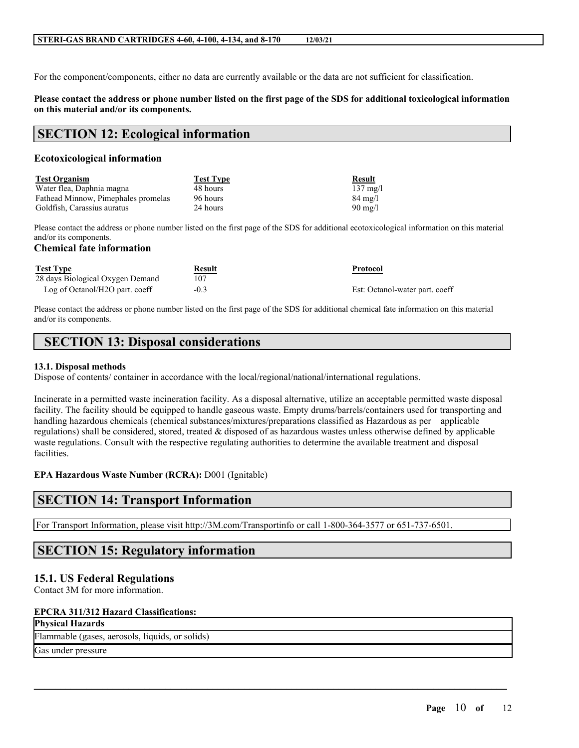For the component/components, either no data are currently available or the data are not sufficient for classification.

### Please contact the address or phone number listed on the first page of the SDS for additional toxicological information **on this material and/or its components.**

# **SECTION 12: Ecological information**

### **Ecotoxicological information**

| <b>Test Organism</b>                | <b>Test Type</b> | Result             |
|-------------------------------------|------------------|--------------------|
| Water flea, Daphnia magna           | 48 hours         | $137 \text{ mg/l}$ |
| Fathead Minnow, Pimephales promelas | 96 hours         | $84 \text{ mg}/l$  |
| Goldfish, Carassius auratus         | 24 hours         | $90 \text{ mg}/1$  |

Please contact the address or phone number listed on the first page of the SDS for additional ecotoxicological information on this material and/or its components.

### **Chemical fate information**

| <b>Test Type</b>                 | Result | Protocol                       |
|----------------------------------|--------|--------------------------------|
| 28 days Biological Oxygen Demand |        |                                |
| Log of Octanol/H2O part. coeff   | $-0.3$ | Est: Octanol-water part. coeff |

Please contact the address or phone number listed on the first page of the SDS for additional chemical fate information on this material and/or its components.

# **SECTION 13: Disposal considerations**

### **13.1. Disposal methods**

Dispose of contents/ container in accordance with the local/regional/national/international regulations.

Incinerate in a permitted waste incineration facility. As a disposal alternative, utilize an acceptable permitted waste disposal facility. The facility should be equipped to handle gaseous waste. Empty drums/barrels/containers used for transporting and handling hazardous chemicals (chemical substances/mixtures/preparations classified as Hazardous as per applicable regulations) shall be considered, stored, treated  $\&$  disposed of as hazardous wastes unless otherwise defined by applicable waste regulations. Consult with the respective regulating authorities to determine the available treatment and disposal facilities.

 $\mathcal{L}_\mathcal{L} = \mathcal{L}_\mathcal{L} = \mathcal{L}_\mathcal{L} = \mathcal{L}_\mathcal{L} = \mathcal{L}_\mathcal{L} = \mathcal{L}_\mathcal{L} = \mathcal{L}_\mathcal{L} = \mathcal{L}_\mathcal{L} = \mathcal{L}_\mathcal{L} = \mathcal{L}_\mathcal{L} = \mathcal{L}_\mathcal{L} = \mathcal{L}_\mathcal{L} = \mathcal{L}_\mathcal{L} = \mathcal{L}_\mathcal{L} = \mathcal{L}_\mathcal{L} = \mathcal{L}_\mathcal{L} = \mathcal{L}_\mathcal{L}$ 

### **EPA Hazardous Waste Number (RCRA):** D001 (Ignitable)

# **SECTION 14: Transport Information**

For Transport Information, please visit http://3M.com/Transportinfo or call 1-800-364-3577 or 651-737-6501.

# **SECTION 15: Regulatory information**

# **15.1. US Federal Regulations**

Contact 3M for more information.

### **EPCRA 311/312 Hazard Classifications:**

Flammable (gases, aerosols, liquids, or solids)

Gas under pressure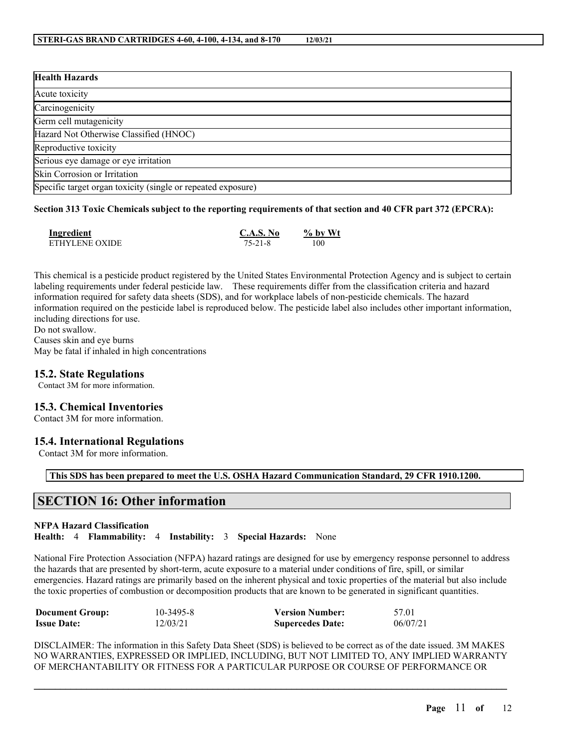| <b>Health Hazards</b>                                        |  |
|--------------------------------------------------------------|--|
| Acute toxicity                                               |  |
| Carcinogenicity                                              |  |
| Germ cell mutagenicity                                       |  |
| Hazard Not Otherwise Classified (HNOC)                       |  |
| Reproductive toxicity                                        |  |
| Serious eye damage or eye irritation                         |  |
| Skin Corrosion or Irritation                                 |  |
| Specific target organ toxicity (single or repeated exposure) |  |

### Section 313 Toxic Chemicals subject to the reporting requirements of that section and 40 CFR part 372 (EPCRA):

| Ingredient     | C.A.S. No | $%$ by Wt |
|----------------|-----------|-----------|
| ETHYLENE OXIDE | 75-21-8   | 100       |

This chemical is a pesticide product registered by the United States Environmental Protection Agency and is subject to certain labeling requirements under federal pesticide law. These requirements differ from the classification criteria and hazard information required for safety data sheets (SDS), and for workplace labels of non-pesticide chemicals. The hazard information required on the pesticide label is reproduced below. The pesticide label also includes other important information, including directions for use.

Do not swallow. Causes skin and eye burns May be fatal if inhaled in high concentrations

### **15.2. State Regulations**

Contact 3M for more information.

### **15.3. Chemical Inventories**

Contact 3M for more information.

### **15.4. International Regulations**

Contact 3M for more information.

**This SDS has been prepared to meet the U.S. OSHA Hazard Communication Standard, 29 CFR 1910.1200.**

# **SECTION 16: Other information**

### **NFPA Hazard Classification**

**Health:** 4 **Flammability:** 4 **Instability:** 3 **Special Hazards:** None

National Fire Protection Association (NFPA) hazard ratings are designed for use by emergency response personnel to address the hazards that are presented by short-term, acute exposure to a material under conditions of fire, spill, or similar emergencies. Hazard ratings are primarily based on the inherent physical and toxic properties of the material but also include the toxic properties of combustion or decomposition products that are known to be generated in significant quantities.

| <b>Document Group:</b> | $10 - 3495 - 8$ | <b>Version Number:</b>  | 57.01    |
|------------------------|-----------------|-------------------------|----------|
| <b>Issue Date:</b>     | 12/03/21        | <b>Supercedes Date:</b> | 06/07/21 |

DISCLAIMER: The information in this Safety Data Sheet (SDS) is believed to be correct as of the date issued. 3M MAKES NO WARRANTIES, EXPRESSED OR IMPLIED, INCLUDING, BUT NOT LIMITED TO, ANY IMPLIED WARRANTY OF MERCHANTABILITY OR FITNESS FOR A PARTICULAR PURPOSE OR COURSE OF PERFORMANCE OR